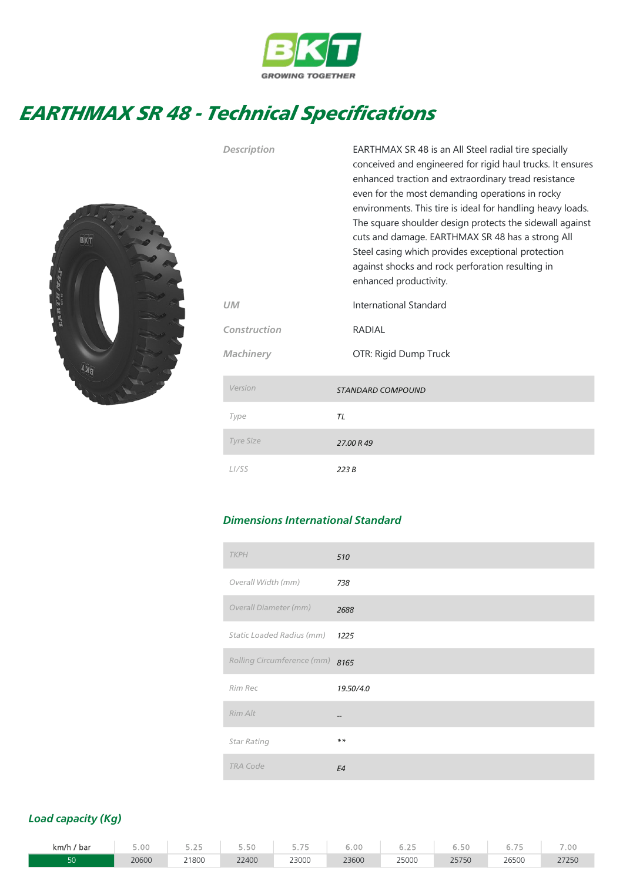

## EARTHMAX SR 48 - Technical Specifications



| <b>Description</b> | EARTHMAX SR 48 is an All Steel radial tire specially<br>conceived and engineered for rigid haul trucks. It ensures<br>enhanced traction and extraordinary tread resistance<br>even for the most demanding operations in rocky<br>environments. This tire is ideal for handling heavy loads.<br>The square shoulder design protects the sidewall against<br>cuts and damage. EARTHMAX SR 48 has a strong All<br>Steel casing which provides exceptional protection<br>against shocks and rock perforation resulting in<br>enhanced productivity. |  |  |  |  |  |
|--------------------|-------------------------------------------------------------------------------------------------------------------------------------------------------------------------------------------------------------------------------------------------------------------------------------------------------------------------------------------------------------------------------------------------------------------------------------------------------------------------------------------------------------------------------------------------|--|--|--|--|--|
| UМ                 | International Standard                                                                                                                                                                                                                                                                                                                                                                                                                                                                                                                          |  |  |  |  |  |
| Construction       | RADIAL                                                                                                                                                                                                                                                                                                                                                                                                                                                                                                                                          |  |  |  |  |  |
| Machinery          | OTR: Rigid Dump Truck                                                                                                                                                                                                                                                                                                                                                                                                                                                                                                                           |  |  |  |  |  |
| Version            | <b>STANDARD COMPOUND</b>                                                                                                                                                                                                                                                                                                                                                                                                                                                                                                                        |  |  |  |  |  |
| Type               | <b>TL</b>                                                                                                                                                                                                                                                                                                                                                                                                                                                                                                                                       |  |  |  |  |  |
| Tyre Size          | 27.00 R 49                                                                                                                                                                                                                                                                                                                                                                                                                                                                                                                                      |  |  |  |  |  |
| L <sub>I</sub> /SS | 223B                                                                                                                                                                                                                                                                                                                                                                                                                                                                                                                                            |  |  |  |  |  |

## Dimensions International Standard

| <b>TKPH</b>        |                            | 510       |
|--------------------|----------------------------|-----------|
|                    | Overall Width (mm)         | 738       |
|                    | Overall Diameter (mm)      | 2688      |
|                    | Static Loaded Radius (mm)  | 1225      |
|                    | Rolling Circumference (mm) | 8165      |
| Rim Rec            |                            | 19.50/4.0 |
| Rim Alt            |                            |           |
| <b>Star Rating</b> |                            | $***$     |
| <b>TRA Code</b>    |                            | E4        |

## Load capacity (Kg)

| km/h<br>bar | $\overline{\phantom{a}}$<br>5.UU | gent .<br>$\sim$<br>---- |       | <b>START</b><br>-<br>. | $\sim$ $\sim$<br>いいい | <b>COL DIRE</b> | <b>COL</b><br><i>. .</i> | <b>CONTRACTOR</b> | .00 |
|-------------|----------------------------------|--------------------------|-------|------------------------|----------------------|-----------------|--------------------------|-------------------|-----|
|             | 20600                            | 21800<br>.               | 22400 | 23000<br>.             | 23600                | 25000<br>.      | 2F7F<br>237 JU           | 26500<br>.        |     |